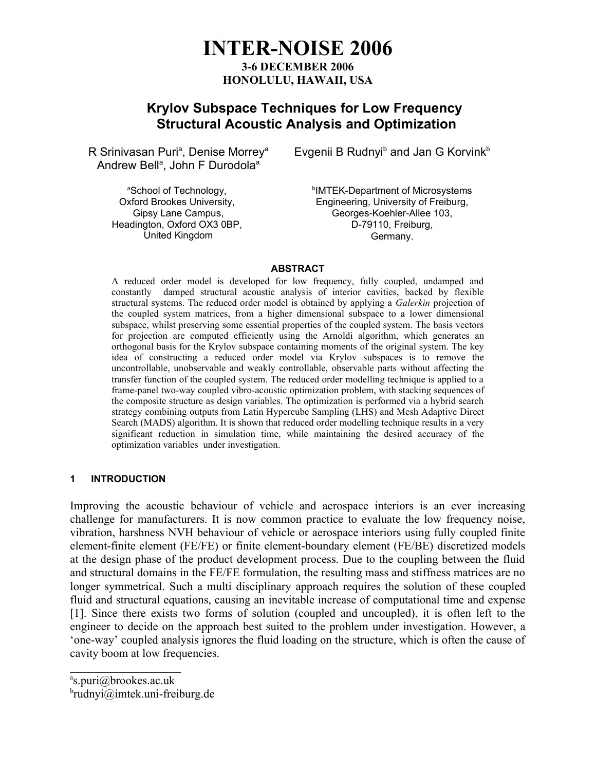# **INTER-NOISE 2006 3-6 DECEMBER 2006 HONOLULU, HAWAII, USA**

# **Krylov Subspace Techniques for Low Frequency Structural Acoustic Analysis and Optimization**

R Srinivasan Puri<sup>a</sup>, Denise Morrey<sup>a</sup> Andrew Bell<sup>a</sup>, John F Durodola<sup>a</sup>

> aSchool of Technology, Oxford Brookes University, Gipsy Lane Campus, Headington, Oxford OX3 0BP, United Kingdom

Evgenii B Rudnyi<sup>b</sup> and Jan G Korvink<sup>b</sup>

b IMTEK-Department of Microsystems Engineering, University of Freiburg, Georges-Koehler-Allee 103, D-79110, Freiburg, Germany.

### **ABSTRACT**

A reduced order model is developed for low frequency, fully coupled, undamped and constantly damped structural acoustic analysis of interior cavities, backed by flexible structural systems. The reduced order model is obtained by applying a *Galerkin* projection of the coupled system matrices, from a higher dimensional subspace to a lower dimensional subspace, whilst preserving some essential properties of the coupled system. The basis vectors for projection are computed efficiently using the Arnoldi algorithm, which generates an orthogonal basis for the Krylov subspace containing moments of the original system. The key idea of constructing a reduced order model via Krylov subspaces is to remove the uncontrollable, unobservable and weakly controllable, observable parts without affecting the transfer function of the coupled system. The reduced order modelling technique is applied to a frame-panel two-way coupled vibro-acoustic optimization problem, with stacking sequences of the composite structure as design variables. The optimization is performed via a hybrid search strategy combining outputs from Latin Hypercube Sampling (LHS) and Mesh Adaptive Direct Search (MADS) algorithm. It is shown that reduced order modelling technique results in a very significant reduction in simulation time, while maintaining the desired accuracy of the optimization variables under investigation.

## **1 INTRODUCTION**

Improving the acoustic behaviour of vehicle and aerospace interiors is an ever increasing challenge for manufacturers. It is now common practice to evaluate the low frequency noise, vibration, harshness NVH behaviour of vehicle or aerospace interiors using fully coupled finite element-finite element (FE/FE) or finite element-boundary element (FE/BE) discretized models at the design phase of the product development process. Due to the coupling between the fluid and structural domains in the FE/FE formulation, the resulting mass and stiffness matrices are no longer symmetrical. Such a multi disciplinary approach requires the solution of these coupled fluid and structural equations, causing an inevitable increase of computational time and expense [1]. Since there exists two forms of solution (coupled and uncoupled), it is often left to the engineer to decide on the approach best suited to the problem under investigation. However, a 'one-way' coupled analysis ignores the fluid loading on the structure, which is often the cause of cavity boom at low frequencies.

 $\mathcal{L}_\text{max}$  , where  $\mathcal{L}_\text{max}$  is the set of  $\mathcal{L}_\text{max}$ a s.puri@brookes.ac.uk

b rudnyi@imtek.uni-freiburg.de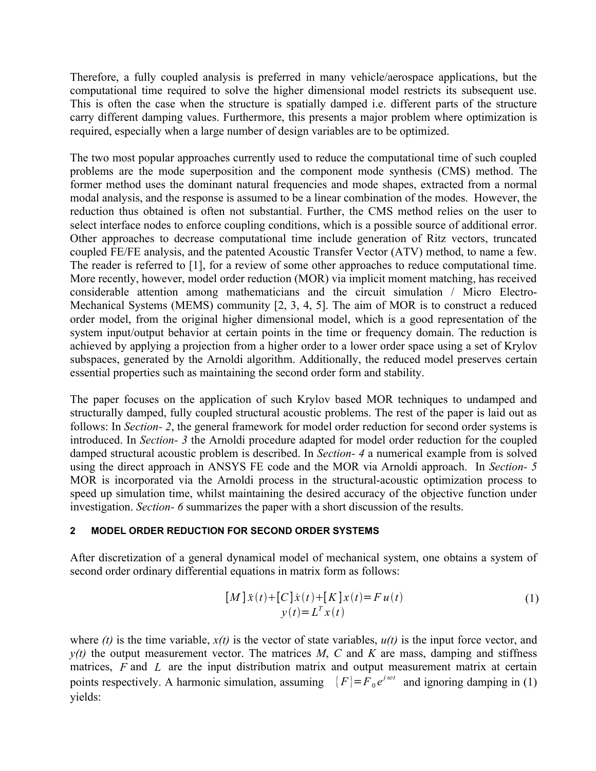Therefore, a fully coupled analysis is preferred in many vehicle/aerospace applications, but the computational time required to solve the higher dimensional model restricts its subsequent use. This is often the case when the structure is spatially damped i.e. different parts of the structure carry different damping values. Furthermore, this presents a major problem where optimization is required, especially when a large number of design variables are to be optimized.

The two most popular approaches currently used to reduce the computational time of such coupled problems are the mode superposition and the component mode synthesis (CMS) method. The former method uses the dominant natural frequencies and mode shapes, extracted from a normal modal analysis, and the response is assumed to be a linear combination of the modes. However, the reduction thus obtained is often not substantial. Further, the CMS method relies on the user to select interface nodes to enforce coupling conditions, which is a possible source of additional error. Other approaches to decrease computational time include generation of Ritz vectors, truncated coupled FE/FE analysis, and the patented Acoustic Transfer Vector (ATV) method, to name a few. The reader is referred to [1], for a review of some other approaches to reduce computational time. More recently, however, model order reduction (MOR) via implicit moment matching, has received considerable attention among mathematicians and the circuit simulation / Micro Electro-Mechanical Systems (MEMS) community [2, 3, 4, 5]. The aim of MOR is to construct a reduced order model, from the original higher dimensional model, which is a good representation of the system input/output behavior at certain points in the time or frequency domain. The reduction is achieved by applying a projection from a higher order to a lower order space using a set of Krylov subspaces, generated by the Arnoldi algorithm. Additionally, the reduced model preserves certain essential properties such as maintaining the second order form and stability.

The paper focuses on the application of such Krylov based MOR techniques to undamped and structurally damped, fully coupled structural acoustic problems. The rest of the paper is laid out as follows: In *Section- 2*, the general framework for model order reduction for second order systems is introduced. In *Section- 3* the Arnoldi procedure adapted for model order reduction for the coupled damped structural acoustic problem is described. In *Section- 4* a numerical example from is solved using the direct approach in ANSYS FE code and the MOR via Arnoldi approach. In *Section- 5* MOR is incorporated via the Arnoldi process in the structural-acoustic optimization process to speed up simulation time, whilst maintaining the desired accuracy of the objective function under investigation. *Section- 6* summarizes the paper with a short discussion of the results.

# **2 MODEL ORDER REDUCTION FOR SECOND ORDER SYSTEMS**

After discretization of a general dynamical model of mechanical system, one obtains a system of second order ordinary differential equations in matrix form as follows:

$$
[M]\ddot{x}(t) + [C]\dot{x}(t) + [K]x(t) = Fu(t)
$$
  

$$
y(t) = L^{T}x(t)
$$
 (1)

where  $(t)$  is the time variable,  $x(t)$  is the vector of state variables,  $u(t)$  is the input force vector, and  $y(t)$  the output measurement vector. The matrices *M*, *C* and *K* are mass, damping and stiffness matrices, *F* and *L* are the input distribution matrix and output measurement matrix at certain points respectively. A harmonic simulation, assuming  ${F} = F_0 e^{j \omega t}$  and ignoring damping in (1) yields: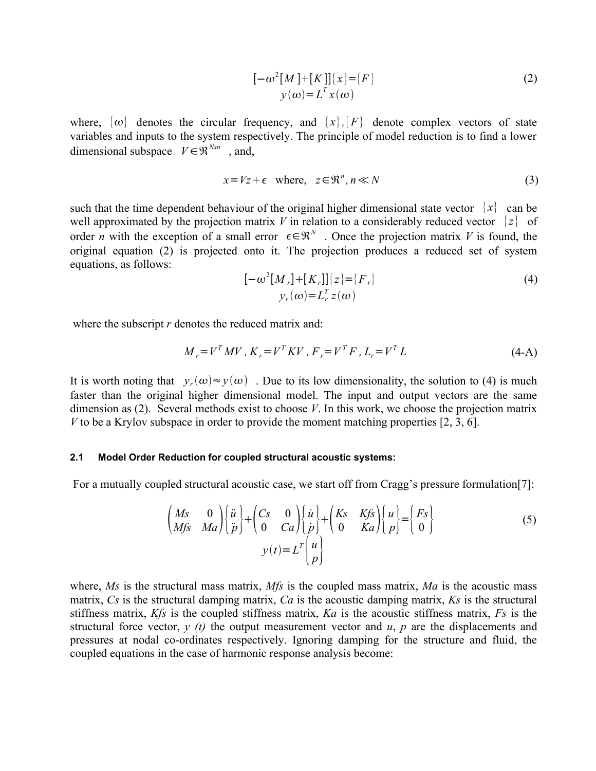$$
[-\omega^{2}[M]+[K]]\{x\}=[F]
$$
  

$$
y(\omega)=L^{T}x(\omega)
$$
 (2)

where,  $\{\omega\}$  denotes the circular frequency, and  $\{x\}$ ,  $\{F\}$  denote complex vectors of state variables and inputs to the system respectively. The principle of model reduction is to find a lower dimensional subspace  $V \in \mathfrak{R}^{N \times n}$ , and,

$$
x = Vz + \epsilon \quad \text{where}, \quad z \in \mathbb{R}^n, n \ll N \tag{3}
$$

such that the time dependent behaviour of the original higher dimensional state vector  $\{x\}$  can be well approximated by the projection matrix *V* in relation to a considerably reduced vector  $\{z\}$  of order *n* with the exception of a small error  $\epsilon \in \mathbb{R}^N$ . Once the projection matrix *V* is found, the original equation (2) is projected onto it. The projection produces a reduced set of system equations, as follows:

$$
[-\omega^{2}[M_{r}]+[K_{r}]]\{z\}=[F_{r}]
$$
  

$$
y_{r}(\omega)=L_{r}^{T}z(\omega)
$$
 (4)

where the subscript *r* denotes the reduced matrix and:

$$
M_r = V^T M V, K_r = V^T K V, F_r = V^T F, L_r = V^T L
$$
\n(4-A)

It is worth noting that  $y_r(\omega) \approx y(\omega)$ . Due to its low dimensionality, the solution to (4) is much faster than the original higher dimensional model. The input and output vectors are the same dimension as (2). Several methods exist to choose *V*. In this work, we choose the projection matrix *V* to be a Krylov subspace in order to provide the moment matching properties [2, 3, 6].

### **2.1 Model Order Reduction for coupled structural acoustic systems:**

For a mutually coupled structural acoustic case, we start off from Cragg's pressure formulation[7]:

$$
\begin{pmatrix}\nMs & 0 \\
Mfs & Ma\n\end{pmatrix}\n\begin{pmatrix}\n\ddot{u} \\
\ddot{p}\n\end{pmatrix} +\n\begin{pmatrix}\nCs & 0 \\
0 & Ca\n\end{pmatrix}\n\begin{pmatrix}\n\dot{u} \\
\dot{p}\n\end{pmatrix} +\n\begin{pmatrix}\nKs & Kfs \\
0 & Ka\n\end{pmatrix}\n\begin{pmatrix}\nu \\
p\n\end{pmatrix} =\n\begin{pmatrix}\nFs \\
0\n\end{pmatrix}
$$
\n
$$
y(t) = L^T\n\begin{pmatrix}\nu \\
p\n\end{pmatrix}
$$
\n(5)

where, *Ms* is the structural mass matrix, *Mfs* is the coupled mass matrix, *Ma* is the acoustic mass matrix, *Cs* is the structural damping matrix, *Ca* is the acoustic damping matrix, *Ks* is the structural stiffness matrix, *Kfs* is the coupled stiffness matrix, *Ka* is the acoustic stiffness matrix, *Fs* is the structural force vector,  $y(t)$  the output measurement vector and  $u$ ,  $p$  are the displacements and pressures at nodal co-ordinates respectively. Ignoring damping for the structure and fluid, the coupled equations in the case of harmonic response analysis become: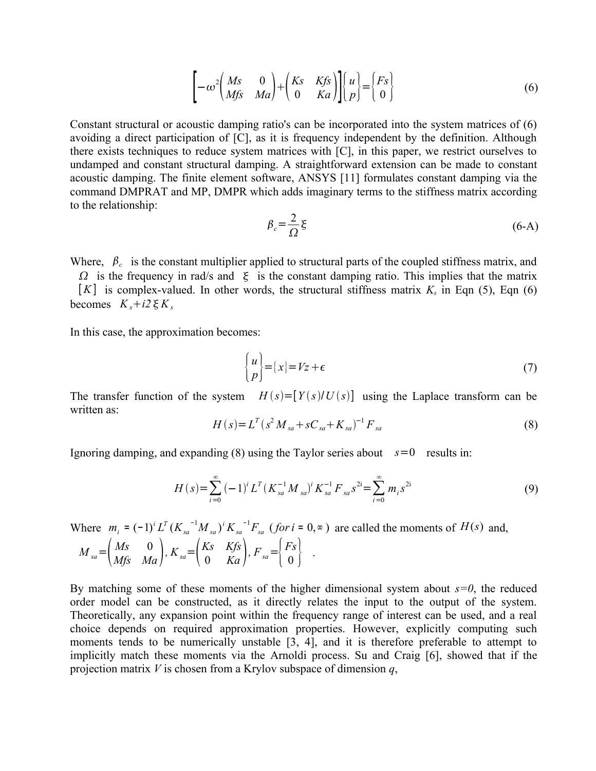$$
\left[-\omega^2 \begin{pmatrix} Ms & 0 \\ Mfs & Ma \end{pmatrix} + \begin{pmatrix} Ks & Kfs \\ 0 & Ka \end{pmatrix} \right] \begin{pmatrix} u \\ p \end{pmatrix} = \begin{pmatrix} Fs \\ 0 \end{pmatrix}
$$
(6)

Constant structural or acoustic damping ratio's can be incorporated into the system matrices of (6) avoiding a direct participation of [C], as it is frequency independent by the definition. Although there exists techniques to reduce system matrices with [C], in this paper, we restrict ourselves to undamped and constant structural damping. A straightforward extension can be made to constant acoustic damping. The finite element software, ANSYS [11] formulates constant damping via the command DMPRAT and MP, DMPR which adds imaginary terms to the stiffness matrix according to the relationship:

$$
\beta_c = \frac{2}{\Omega} \xi \tag{6-A}
$$

Where,  $\beta_c$  is the constant multiplier applied to structural parts of the coupled stiffness matrix, and

 $\Omega$  is the frequency in rad/s and  $\xi$  is the constant damping ratio. This implies that the matrix  $[K]$  is complex-valued. In other words, the structural stiffness matrix  $K_s$  in Eqn (5), Eqn (6) becomes  $K_s + i2 \xi K_s$ 

In this case, the approximation becomes:

$$
\begin{Bmatrix} u \\ p \end{Bmatrix} = \{x\} = Vz + \epsilon \tag{7}
$$

The transfer function of the system  $H(s) = [Y(s)/U(s)]$  using the Laplace transform can be written as:

$$
H(s) = L^T (s^2 M_{sa} + sC_{sa} + K_{sa})^{-1} F_{sa}
$$
 (8)

Ignoring damping, and expanding  $(8)$  using the Taylor series about  $s=0$  results in:

$$
H(s) = \sum_{i=0}^{\infty} (-1)^{i} L^{T} (K_{sa}^{-1} M_{sa})^{i} K_{sa}^{-1} F_{sa} s^{2i} = \sum_{i=0}^{\infty} m_{i} s^{2i}
$$
(9)

Where  $m_i = (-1)^i L^T (K_{sa}^{-1} M_{sa})^i K_{sa}^{-1} F_{sa}$  (for  $i = 0, \infty$ ) *i sa sa i T*  $a_i = (-1)^i L^T (K_{sa}^{-1} M_{sa})^i K_{sa}^{-1} F_{sa}$  (*for i* = 0, $\infty$ ) are called the moments of *H*(*s*) and,

$$
M_{sa} = \begin{pmatrix} Ms & 0 \\ Mfs & Ma \end{pmatrix}, K_{sa} = \begin{pmatrix} Ks & Kfs \\ 0 & Ka \end{pmatrix}, F_{sa} = \begin{pmatrix} Fs \\ 0 \end{pmatrix} .
$$

By matching some of these moments of the higher dimensional system about *s=0*, the reduced order model can be constructed, as it directly relates the input to the output of the system. Theoretically, any expansion point within the frequency range of interest can be used, and a real choice depends on required approximation properties. However, explicitly computing such moments tends to be numerically unstable [3, 4], and it is therefore preferable to attempt to implicitly match these moments via the Arnoldi process. Su and Craig [6], showed that if the projection matrix *V* is chosen from a Krylov subspace of dimension *q*,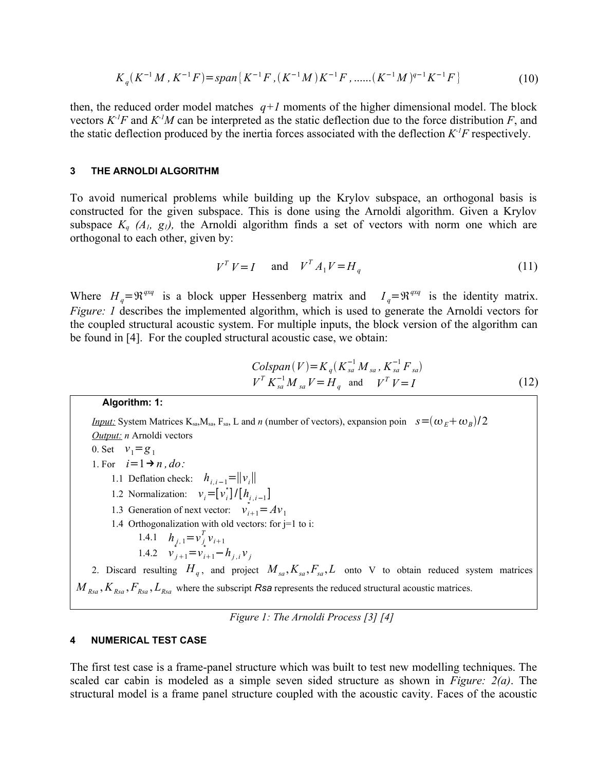$$
K_q(K^{-1}M, K^{-1}F) = span\{K^{-1}F, (K^{-1}M)K^{-1}F, \dots (K^{-1}M)^{q-1}K^{-1}F\}
$$
(10)

then, the reduced order model matches  $q+1$  moments of the higher dimensional model. The block vectors  $K$ <sup>*IF*</sup> and  $K$ <sup>*IM*</sup> can be interpreted as the static deflection due to the force distribution *F*, and the static deflection produced by the inertia forces associated with the deflection *K -1F* respectively.

### **3 THE ARNOLDI ALGORITHM**

To avoid numerical problems while building up the Krylov subspace, an orthogonal basis is constructed for the given subspace. This is done using the Arnoldi algorithm. Given a Krylov subspace  $K_q$   $(A_l, g_l)$ , the Arnoldi algorithm finds a set of vectors with norm one which are orthogonal to each other, given by:

$$
V^T V = I \quad \text{and} \quad V^T A_1 V = H_q \tag{11}
$$

Where  $H_q = \mathfrak{R}^{q \times q}$  is a block upper Hessenberg matrix and  $I_q = \mathfrak{R}^{q \times q}$  is the identity matrix. *Figure: 1* describes the implemented algorithm, which is used to generate the Arnoldi vectors for the coupled structural acoustic system. For multiple inputs, the block version of the algorithm can be found in [4]. For the coupled structural acoustic case, we obtain:

$$
Colspan(V) = K_q(K_{sa}^{-1} M_{sa}, K_{sa}^{-1} F_{sa})
$$
  

$$
V^T K_{sa}^{-1} M_{sa} V = H_q \text{ and } V^T V = I
$$
 (12)

#### **Algorithm: 1:**

*Input:* System Matrices K<sub>sa</sub>,M<sub>sa</sub>, F<sub>sa</sub>, L and *n* (number of vectors), expansion poin  $s = (\omega_E + \omega_B)/2$ *Output: n* Arnoldi vectors 0. Set  $v_1 = g_1$ 1. For  $i=1 \rightarrow n$ , *do*: 1.1 Deflation check:  $h_{i,i-1} = ||v_i||$ 1.2 Normalization:  $v_i = [v_i^*] / [h_{i,i-1}]$ 1.3 Generation of next vector:  $v_{i+1}^* = Av_1$  1.4 Orthogonalization with old vectors: for j=1 to i: 1.4.1  $h_{j,1} = v_j^T v_{i+1}$ 1.4.2  $v_{j+1}^* = v_{i+1}^* - h_{j,i}v_j$ 

2. Discard resulting  $H_q$ , and project  $M_{sa}$ ,  $K_{sa}$ ,  $F_{sa}$ ,  $L$  onto V to obtain reduced system matrices  $M_{R_{\text{X}}}, K_{R_{\text{X}}}, F_{R_{\text{X}}}, L_{R_{\text{X}}}$  where the subscript *Rsa* represents the reduced structural acoustic matrices.

*Figure 1: The Arnoldi Process [3] [4]*

#### **4 NUMERICAL TEST CASE**

The first test case is a frame-panel structure which was built to test new modelling techniques. The scaled car cabin is modeled as a simple seven sided structure as shown in *Figure: 2(a)*. The structural model is a frame panel structure coupled with the acoustic cavity. Faces of the acoustic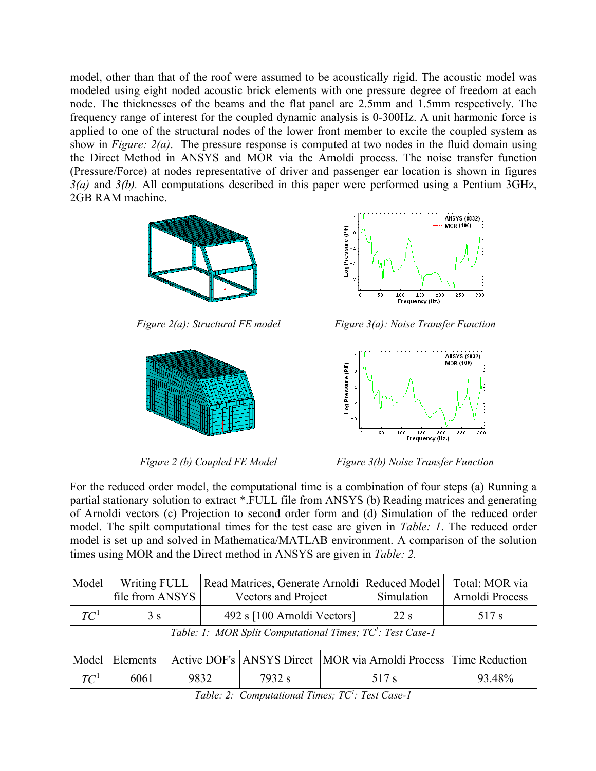model, other than that of the roof were assumed to be acoustically rigid. The acoustic model was modeled using eight noded acoustic brick elements with one pressure degree of freedom at each node. The thicknesses of the beams and the flat panel are 2.5mm and 1.5mm respectively. The frequency range of interest for the coupled dynamic analysis is 0-300Hz. A unit harmonic force is applied to one of the structural nodes of the lower front member to excite the coupled system as show in *Figure: 2(a)*. The pressure response is computed at two nodes in the fluid domain using the Direct Method in ANSYS and MOR via the Arnoldi process. The noise transfer function (Pressure/Force) at nodes representative of driver and passenger ear location is shown in figures *3(a)* and *3(b).* All computations described in this paper were performed using a Pentium 3GHz, 2GB RAM machine.







*Figure 2(a): Structural FE model Figure 3(a): Noise Transfer Function*



*Figure 2 (b) Coupled FE Model Figure 3(b) Noise Transfer Function*

For the reduced order model, the computational time is a combination of four steps (a) Running a partial stationary solution to extract \*.FULL file from ANSYS (b) Reading matrices and generating of Arnoldi vectors (c) Projection to second order form and (d) Simulation of the reduced order model. The spilt computational times for the test case are given in *Table: 1*. The reduced order model is set up and solved in Mathematica/MATLAB environment. A comparison of the solution times using MOR and the Direct method in ANSYS are given in *Table: 2.*

| Model  | Writing FULL    | Read Matrices, Generate Arnoldi   Reduced Model |            | Total: MOR via  |  |
|--------|-----------------|-------------------------------------------------|------------|-----------------|--|
|        | file from ANSYS | Vectors and Project                             | Simulation | Arnoldi Process |  |
| $TC^1$ | 3 S             | 492 s [100 Arnoldi Vectors]                     | 22 s       | 517 s           |  |

*Table: 1: MOR Split Computational Times; TC 1 : Test Case-1*

| Model            |      |      |        | Elements Active DOF's ANSYS Direct   MOR via Arnoldi Process   Time Reduction |        |
|------------------|------|------|--------|-------------------------------------------------------------------------------|--------|
| $T\mathcal{C}^1$ | 6061 | 9832 | 7932 s | 517 s                                                                         | 93.48% |

*Table: 2: Computational Times; TC 1 : Test Case-1*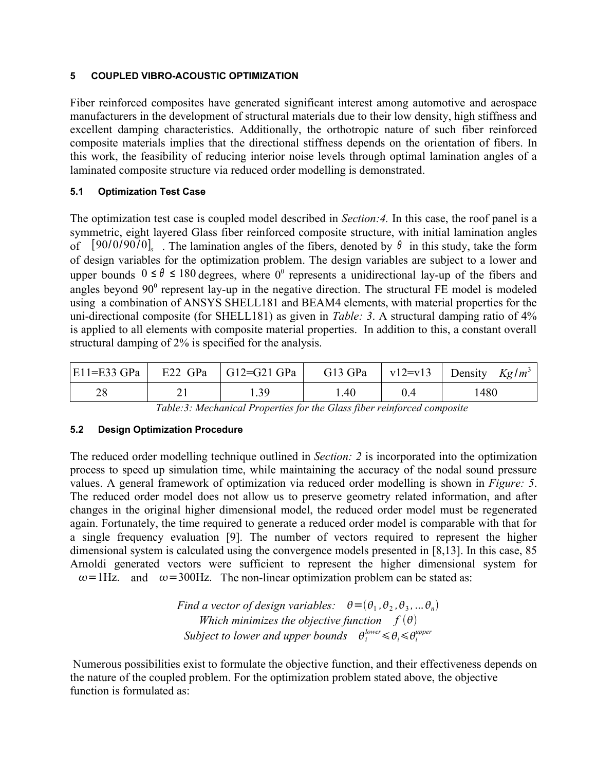# **5 COUPLED VIBRO-ACOUSTIC OPTIMIZATION**

Fiber reinforced composites have generated significant interest among automotive and aerospace manufacturers in the development of structural materials due to their low density, high stiffness and excellent damping characteristics. Additionally, the orthotropic nature of such fiber reinforced composite materials implies that the directional stiffness depends on the orientation of fibers. In this work, the feasibility of reducing interior noise levels through optimal lamination angles of a laminated composite structure via reduced order modelling is demonstrated.

# **5.1 Optimization Test Case**

The optimization test case is coupled model described in *Section:4.* In this case, the roof panel is a symmetric, eight layered Glass fiber reinforced composite structure, with initial lamination angles of  $[90/0/90/0]$ , The lamination angles of the fibers, denoted by  $\theta$  in this study, take the form of design variables for the optimization problem. The design variables are subject to a lower and upper bounds  $0 \le \theta \le 180$  degrees, where  $0^0$  represents a unidirectional lay-up of the fibers and angles beyond  $90^{\circ}$  represent lay-up in the negative direction. The structural FE model is modeled using a combination of ANSYS SHELL181 and BEAM4 elements, with material properties for the uni-directional composite (for SHELL181) as given in *Table: 3*. A structural damping ratio of 4% is applied to all elements with composite material properties. In addition to this, a constant overall structural damping of 2% is specified for the analysis.

|  | $ E11=E33$ GPa $ E22$ GPa $ G12=G21$ GPa $ $ |      | G13 GPa   v12=v13   Density $Kg/m^3$ |
|--|----------------------------------------------|------|--------------------------------------|
|  | - 39                                         | . 40 | .480                                 |

*Table:3: Mechanical Properties for the Glass fiber reinforced composite*

# **5.2 Design Optimization Procedure**

The reduced order modelling technique outlined in *Section: 2* is incorporated into the optimization process to speed up simulation time, while maintaining the accuracy of the nodal sound pressure values. A general framework of optimization via reduced order modelling is shown in *Figure: 5*. The reduced order model does not allow us to preserve geometry related information, and after changes in the original higher dimensional model, the reduced order model must be regenerated again. Fortunately, the time required to generate a reduced order model is comparable with that for a single frequency evaluation [9]. The number of vectors required to represent the higher dimensional system is calculated using the convergence models presented in [8,13]. In this case, 85 Arnoldi generated vectors were sufficient to represent the higher dimensional system for  $\omega$ =1Hz. and  $\omega$ =300Hz. The non-linear optimization problem can be stated as:

Find a vector of design variables: 
$$
\theta = (\theta_1, \theta_2, \theta_3, ... \theta_n)
$$
  
Which minimizes the objective function  $f(\theta)$   
Subject to lower and upper bounds  $\theta_i^{\text{lower}} \leq \theta_i \leq \theta_i^{\text{upper}}$ 

 Numerous possibilities exist to formulate the objective function, and their effectiveness depends on the nature of the coupled problem. For the optimization problem stated above, the objective function is formulated as: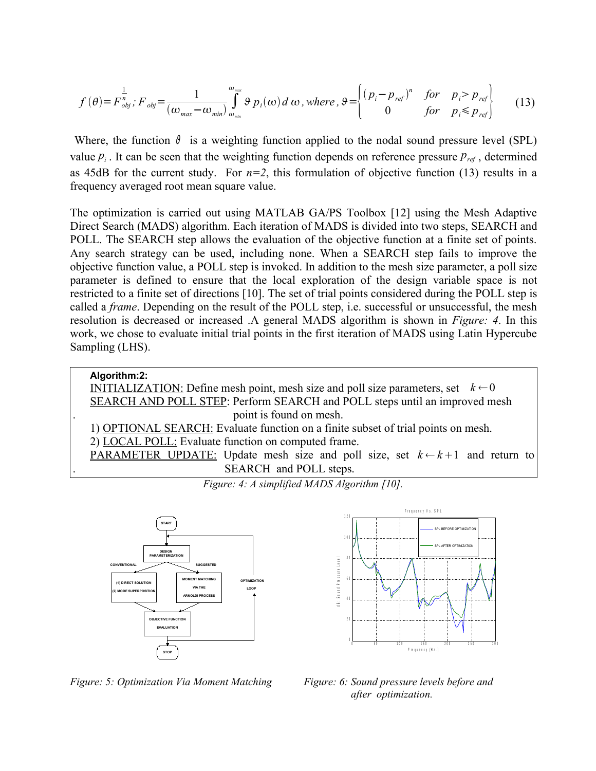$$
f(\theta) = F_{obj}^n; F_{obj} = \frac{1}{(\omega_{max} - \omega_{min})} \int_{\omega_{min}}^{\omega_{max}} \theta p_i(\omega) d\omega, \text{ where } \theta = \begin{cases} (p_i - p_{ref})^n & \text{for } p_i > p_{ref} \\ 0 & \text{for } p_i \le p_{ref} \end{cases}
$$
 (13)

Where, the function  $\vartheta$  is a weighting function applied to the nodal sound pressure level (SPL) value  $p_i$ . It can be seen that the weighting function depends on reference pressure  $p_{ref}$ , determined as 45dB for the current study. For  $n=2$ , this formulation of objective function (13) results in a frequency averaged root mean square value.

The optimization is carried out using MATLAB GA/PS Toolbox [12] using the Mesh Adaptive Direct Search (MADS) algorithm. Each iteration of MADS is divided into two steps, SEARCH and POLL. The SEARCH step allows the evaluation of the objective function at a finite set of points. Any search strategy can be used, including none. When a SEARCH step fails to improve the objective function value, a POLL step is invoked. In addition to the mesh size parameter, a poll size parameter is defined to ensure that the local exploration of the design variable space is not restricted to a finite set of directions [10]. The set of trial points considered during the POLL step is called a *frame*. Depending on the result of the POLL step, i.e. successful or unsuccessful, the mesh resolution is decreased or increased .A general MADS algorithm is shown in *Figure: 4*. In this work, we chose to evaluate initial trial points in the first iteration of MADS using Latin Hypercube Sampling (LHS).

# **Algorithm:2:** INITIALIZATION: Define mesh point, mesh size and poll size parameters, set  $k \leftarrow 0$ SEARCH AND POLL STEP: Perform SEARCH and POLL steps until an improved mesh . point is found on mesh. 1) OPTIONAL SEARCH: Evaluate function on a finite subset of trial points on mesh. 2) LOCAL POLL: Evaluate function on computed frame. PARAMETER UPDATE: Update mesh size and poll size, set  $k \leftarrow k+1$  and return to SEARCH and POLL steps.



*Figure: 4: A simplified MADS Algorithm [10].*

*Figure: 5: Optimization Via Moment Matching Figure: 6: Sound pressure levels before and* 



 *after optimization.*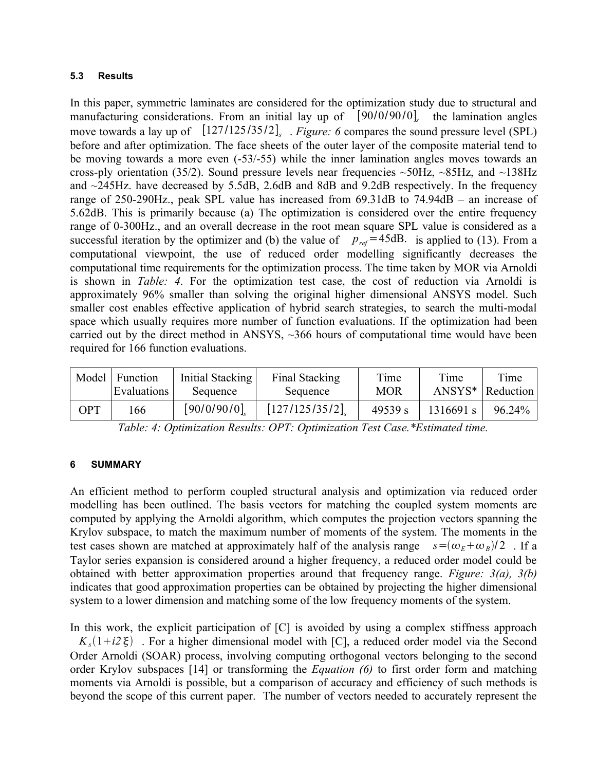## **5.3 Results**

In this paper, symmetric laminates are considered for the optimization study due to structural and manufacturing considerations. From an initial lay up of [90/0/90/0], the lamination angles move towards a lay up of  $[127/125/35/2]$ , *Figure:* 6 compares the sound pressure level (SPL) before and after optimization. The face sheets of the outer layer of the composite material tend to be moving towards a more even (-53/-55) while the inner lamination angles moves towards an cross-ply orientation (35/2). Sound pressure levels near frequencies  $\sim$  50Hz,  $\sim$ 85Hz, and  $\sim$ 138Hz and ~245Hz. have decreased by 5.5dB, 2.6dB and 8dB and 9.2dB respectively. In the frequency range of 250-290Hz., peak SPL value has increased from 69.31dB to 74.94dB – an increase of 5.62dB. This is primarily because (a) The optimization is considered over the entire frequency range of 0-300Hz., and an overall decrease in the root mean square SPL value is considered as a successful iteration by the optimizer and (b) the value of  $p_{ref} = 45dB$ . is applied to (13). From a computational viewpoint, the use of reduced order modelling significantly decreases the computational time requirements for the optimization process. The time taken by MOR via Arnoldi is shown in *Table: 4*. For the optimization test case, the cost of reduction via Arnoldi is approximately 96% smaller than solving the original higher dimensional ANSYS model. Such smaller cost enables effective application of hybrid search strategies, to search the multi-modal space which usually requires more number of function evaluations. If the optimization had been carried out by the direct method in ANSYS, ~366 hours of computational time would have been required for 166 function evaluations.

| Model | Function<br>Evaluations | Initial Stacking<br>Sequence | Final Stacking<br>Sequence | Time<br><b>MOR</b> | Time      | Time<br>$ANSYS*$   Reduction |
|-------|-------------------------|------------------------------|----------------------------|--------------------|-----------|------------------------------|
| OPT   | 166                     | [90/0/90/0]                  | [127/125/35/2]             | 49539 s            | 1316691 s | 96.24%                       |

*Table: 4: Optimization Results: OPT: Optimization Test Case.\*Estimated time.*

## **6 SUMMARY**

An efficient method to perform coupled structural analysis and optimization via reduced order modelling has been outlined. The basis vectors for matching the coupled system moments are computed by applying the Arnoldi algorithm, which computes the projection vectors spanning the Krylov subspace, to match the maximum number of moments of the system. The moments in the test cases shown are matched at approximately half of the analysis range  $s = (\omega_E + \omega_B)/2$ . If a Taylor series expansion is considered around a higher frequency, a reduced order model could be obtained with better approximation properties around that frequency range. *Figure: 3(a), 3(b)* indicates that good approximation properties can be obtained by projecting the higher dimensional system to a lower dimension and matching some of the low frequency moments of the system.

In this work, the explicit participation of  $[C]$  is avoided by using a complex stiffness approach  $K_s(1+i2\xi)$ . For a higher dimensional model with [C], a reduced order model via the Second Order Arnoldi (SOAR) process, involving computing orthogonal vectors belonging to the second order Krylov subspaces [14] or transforming the *Equation (6)* to first order form and matching moments via Arnoldi is possible, but a comparison of accuracy and efficiency of such methods is beyond the scope of this current paper. The number of vectors needed to accurately represent the